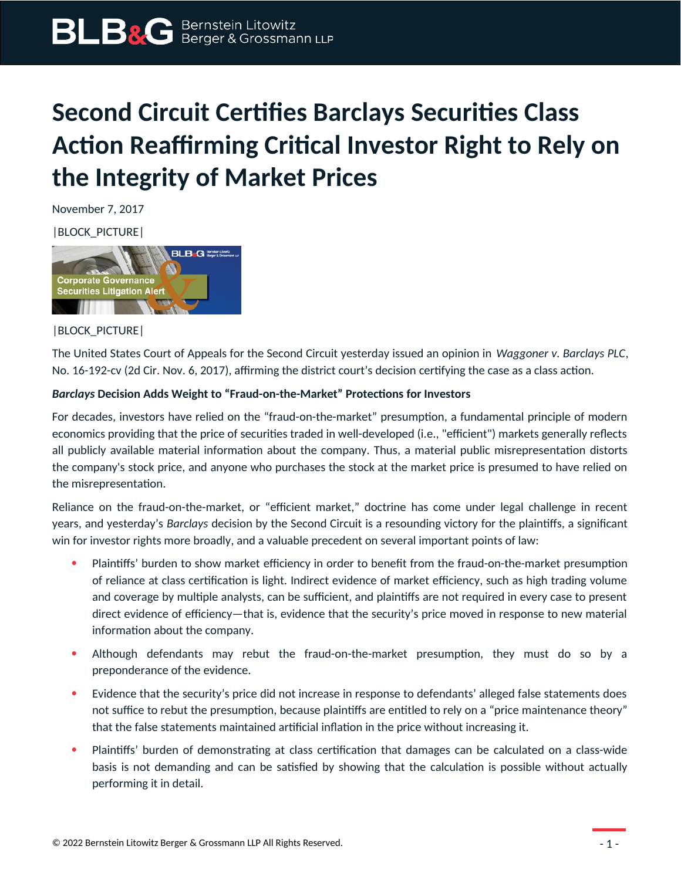## **Second Circuit Certifies Barclays Securities Class Action Reaffirming Critical Investor Right to Rely on the Integrity of Market Prices**

November 7, 2017

|BLOCK\_PICTURE|



|BLOCK\_PICTURE|

The United States Court of Appeals for the Second Circuit yesterday issued an opinion in *Waggoner v. Barclays PLC*, No. 16-192-cv (2d Cir. Nov. 6, 2017), affirming the district court's decision certifying the case as a class action.

## *Barclays* **Decision Adds Weight to "Fraud-on-the-Market" Protections for Investors**

For decades, investors have relied on the "fraud-on-the-market" presumption, a fundamental principle of modern economics providing that the price of securities traded in well-developed (i.e., "efficient") markets generally reflects all publicly available material information about the company. Thus, a material public misrepresentation distorts the company's stock price, and anyone who purchases the stock at the market price is presumed to have relied on the misrepresentation.

Reliance on the fraud-on-the-market, or "efficient market," doctrine has come under legal challenge in recent years, and yesterday's *Barclays* decision by the Second Circuit is a resounding victory for the plaintiffs, a significant win for investor rights more broadly, and a valuable precedent on several important points of law:

- Plaintiffs' burden to show market efficiency in order to benefit from the fraud-on-the-market presumption of reliance at class certification is light. Indirect evidence of market efficiency, such as high trading volume and coverage by multiple analysts, can be sufficient, and plaintiffs are not required in every case to present direct evidence of efficiency—that is, evidence that the security's price moved in response to new material information about the company.
- Although defendants may rebut the fraud-on-the-market presumption, they must do so by a preponderance of the evidence.
- Evidence that the security's price did not increase in response to defendants' alleged false statements does not suffice to rebut the presumption, because plaintiffs are entitled to rely on a "price maintenance theory" that the false statements maintained artificial inflation in the price without increasing it.
- Plaintiffs' burden of demonstrating at class certification that damages can be calculated on a class-wide basis is not demanding and can be satisfied by showing that the calculation is possible without actually performing it in detail.